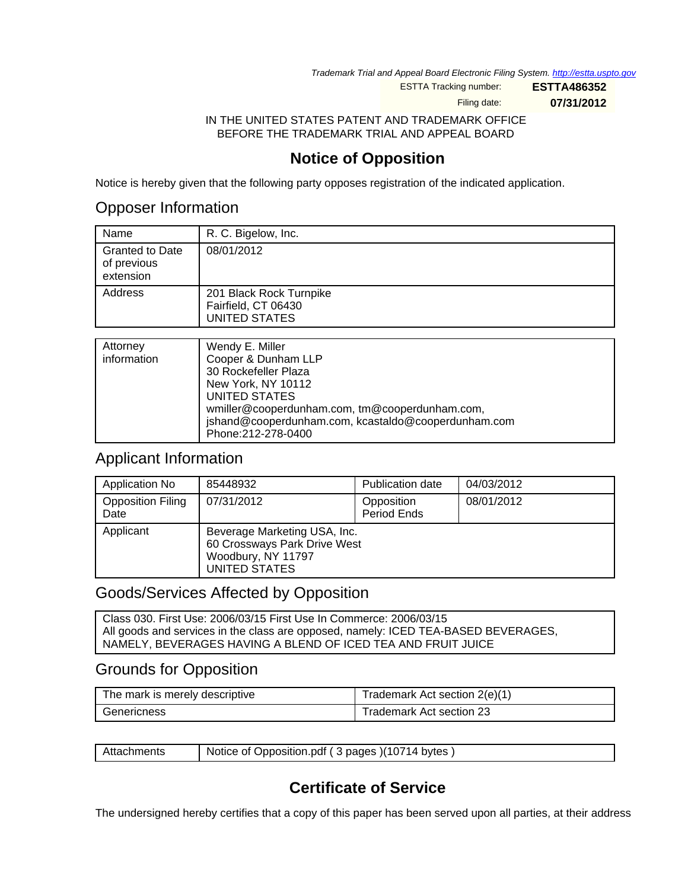Trademark Trial and Appeal Board Electronic Filing System. <http://estta.uspto.gov>

ESTTA Tracking number: **ESTTA486352**

Filing date: **07/31/2012**

IN THE UNITED STATES PATENT AND TRADEMARK OFFICE BEFORE THE TRADEMARK TRIAL AND APPEAL BOARD

## **Notice of Opposition**

Notice is hereby given that the following party opposes registration of the indicated application.

### Opposer Information

| Name                                               | R. C. Bigelow, Inc.                                                    |
|----------------------------------------------------|------------------------------------------------------------------------|
| <b>Granted to Date</b><br>of previous<br>extension | 08/01/2012                                                             |
| Address                                            | 201 Black Rock Turnpike<br>Fairfield, CT 06430<br><b>UNITED STATES</b> |
|                                                    |                                                                        |
| Attorney                                           | Wendy E. Miller                                                        |

| Attorney    | Wendy E. Miller                                     |
|-------------|-----------------------------------------------------|
| information | Cooper & Dunham LLP                                 |
|             | 30 Rockefeller Plaza                                |
|             | New York, NY 10112                                  |
|             | UNITED STATES                                       |
|             | wmiller@cooperdunham.com, tm@cooperdunham.com,      |
|             | jshand@cooperdunham.com, kcastaldo@cooperdunham.com |
|             | Phone: 212-278-0400                                 |
|             |                                                     |

## Applicant Information

| Application No                   | 85448932                                                                                            | Publication date          | 04/03/2012 |
|----------------------------------|-----------------------------------------------------------------------------------------------------|---------------------------|------------|
| <b>Opposition Filing</b><br>Date | 07/31/2012                                                                                          | Opposition<br>Period Ends | 08/01/2012 |
| Applicant                        | Beverage Marketing USA, Inc.<br>60 Crossways Park Drive West<br>Woodbury, NY 11797<br>UNITED STATES |                           |            |

### Goods/Services Affected by Opposition

Class 030. First Use: 2006/03/15 First Use In Commerce: 2006/03/15 All goods and services in the class are opposed, namely: ICED TEA-BASED BEVERAGES, NAMELY, BEVERAGES HAVING A BLEND OF ICED TEA AND FRUIT JUICE

### Grounds for Opposition

| The mark is merely descriptive | Trademark Act section 2(e)(1) |
|--------------------------------|-------------------------------|
| Genericness                    | Trademark Act section 23      |

| Attachments | Notice of Opposition.pdf (3 pages) (10714 bytes) |
|-------------|--------------------------------------------------|
|-------------|--------------------------------------------------|

# **Certificate of Service**

The undersigned hereby certifies that a copy of this paper has been served upon all parties, at their address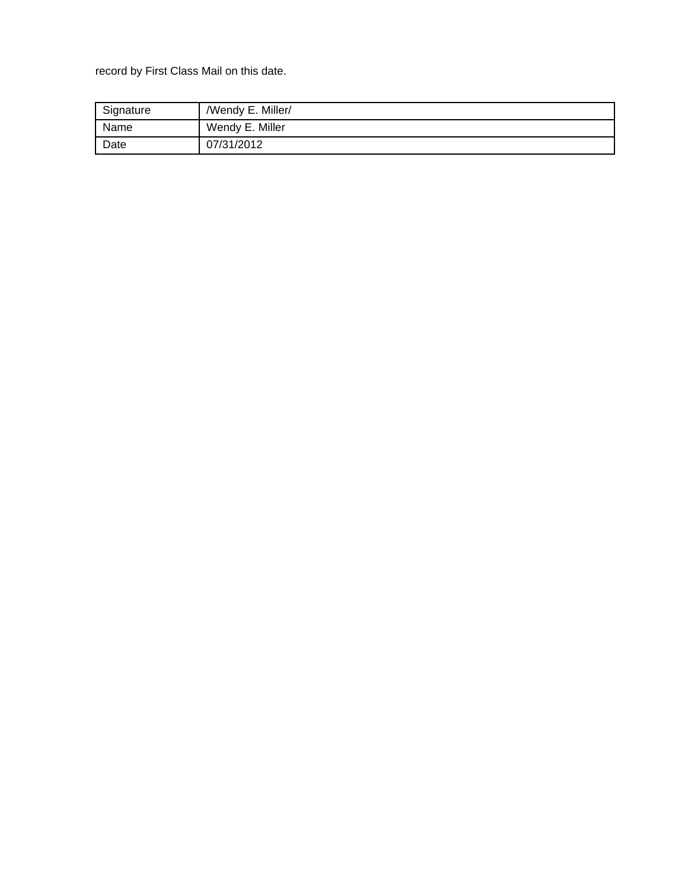record by First Class Mail on this date.

| Signature | /Wendy E. Miller/ |
|-----------|-------------------|
| Name      | Wendy E. Miller   |
| Date      | 07/31/2012        |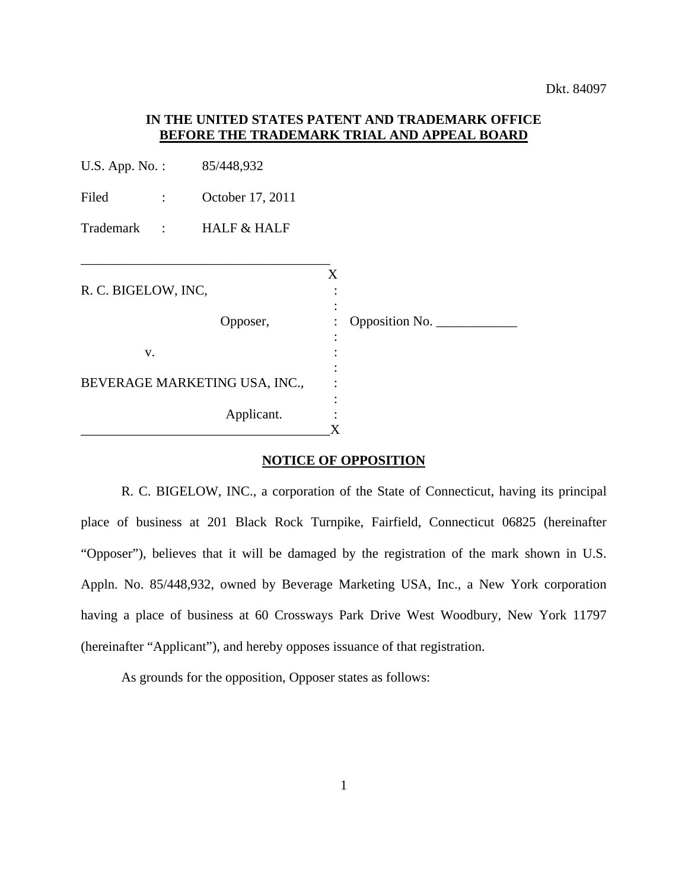#### **IN THE UNITED STATES PATENT AND TRADEMARK OFFICE BEFORE THE TRADEMARK TRIAL AND APPEAL BOARD**

| U.S. App. No.:          | 85/448,932                    |         |                |  |
|-------------------------|-------------------------------|---------|----------------|--|
| Filed<br>$\mathcal{L}$  | October 17, 2011              |         |                |  |
| Trademark : HALF & HALF |                               |         |                |  |
|                         |                               |         |                |  |
| R. C. BIGELOW, INC,     |                               | X       |                |  |
|                         | Opposer,                      |         | Opposition No. |  |
| V.                      |                               |         |                |  |
|                         | BEVERAGE MARKETING USA, INC., |         |                |  |
|                         | Applicant.                    | $\rm X$ |                |  |

#### **NOTICE OF OPPOSITION**

R. C. BIGELOW, INC., a corporation of the State of Connecticut, having its principal place of business at 201 Black Rock Turnpike, Fairfield, Connecticut 06825 (hereinafter "Opposer"), believes that it will be damaged by the registration of the mark shown in U.S. Appln. No. 85/448,932, owned by Beverage Marketing USA, Inc., a New York corporation having a place of business at 60 Crossways Park Drive West Woodbury, New York 11797 (hereinafter "Applicant"), and hereby opposes issuance of that registration.

As grounds for the opposition, Opposer states as follows: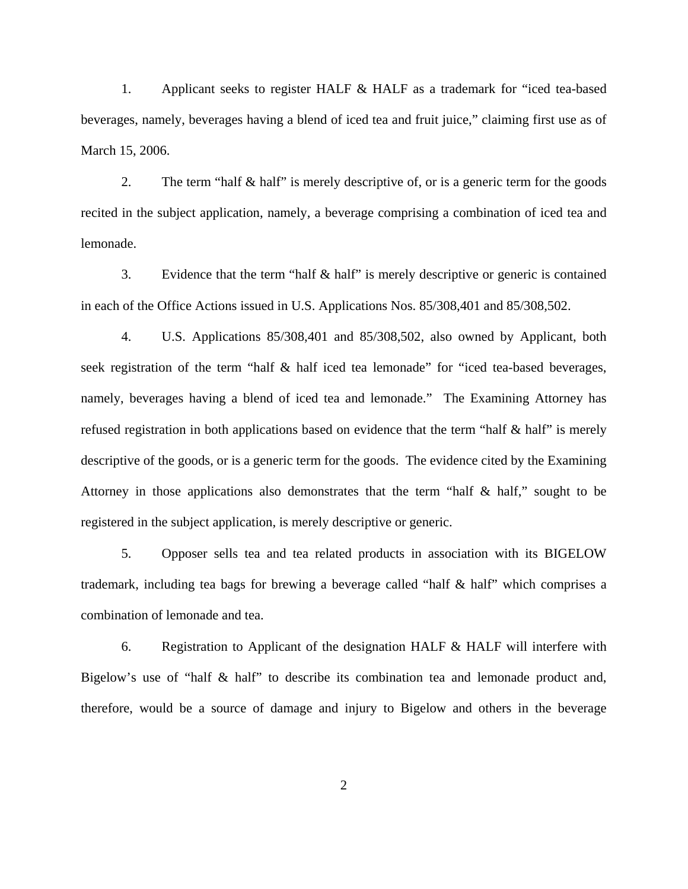1. Applicant seeks to register HALF & HALF as a trademark for "iced tea-based beverages, namely, beverages having a blend of iced tea and fruit juice," claiming first use as of March 15, 2006.

2. The term "half & half" is merely descriptive of, or is a generic term for the goods recited in the subject application, namely, a beverage comprising a combination of iced tea and lemonade.

3. Evidence that the term "half & half" is merely descriptive or generic is contained in each of the Office Actions issued in U.S. Applications Nos. 85/308,401 and 85/308,502.

4. U.S. Applications 85/308,401 and 85/308,502, also owned by Applicant, both seek registration of the term "half & half iced tea lemonade" for "iced tea-based beverages, namely, beverages having a blend of iced tea and lemonade." The Examining Attorney has refused registration in both applications based on evidence that the term "half & half" is merely descriptive of the goods, or is a generic term for the goods. The evidence cited by the Examining Attorney in those applications also demonstrates that the term "half & half," sought to be registered in the subject application, is merely descriptive or generic.

5. Opposer sells tea and tea related products in association with its BIGELOW trademark, including tea bags for brewing a beverage called "half & half" which comprises a combination of lemonade and tea.

6. Registration to Applicant of the designation HALF & HALF will interfere with Bigelow's use of "half & half" to describe its combination tea and lemonade product and, therefore, would be a source of damage and injury to Bigelow and others in the beverage

2